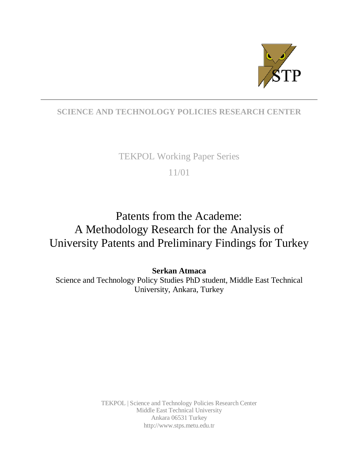

# **SCIENCE AND TECHNOLOGY POLICIES RESEARCH CENTER**

# TEKPOL Working Paper Series

# 11/01

# Patents from the Academe: A Methodology Research for the Analysis of University Patents and Preliminary Findings for Turkey

**Serkan Atmaca**

Science and Technology Policy Studies PhD student, Middle East Technical University, Ankara, Turkey

> TEKPOL | Science and Technology Policies Research Center Middle East Technical University Ankara 06531 Turkey http://www.stps.metu.edu.tr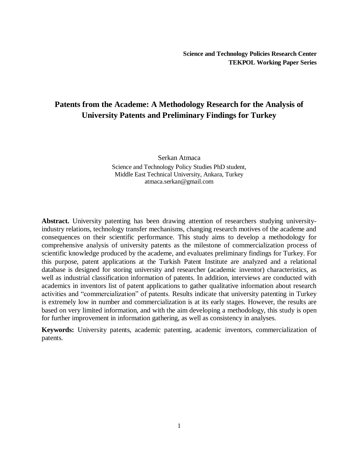# **Patents from the Academe: A Methodology Research for the Analysis of University Patents and Preliminary Findings for Turkey**

Serkan Atmaca Science and Technology Policy Studies PhD student, Middle East Technical University, Ankara, Turkey atmaca.serkan@gmail.com

**Abstract.** University patenting has been drawing attention of researchers studying universityindustry relations, technology transfer mechanisms, changing research motives of the academe and consequences on their scientific performance. This study aims to develop a methodology for comprehensive analysis of university patents as the milestone of commercialization process of scientific knowledge produced by the academe, and evaluates preliminary findings for Turkey. For this purpose, patent applications at the Turkish Patent Institute are analyzed and a relational database is designed for storing university and researcher (academic inventor) characteristics, as well as industrial classification information of patents. In addition, interviews are conducted with academics in inventors list of patent applications to gather qualitative information about research activities and "commercialization" of patents. Results indicate that university patenting in Turkey is extremely low in number and commercialization is at its early stages. However, the results are based on very limited information, and with the aim developing a methodology, this study is open for further improvement in information gathering, as well as consistency in analyses.

**Keywords:** University patents, academic patenting, academic inventors, commercialization of patents.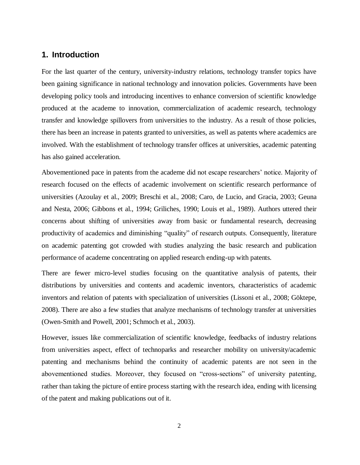## **1. Introduction**

For the last quarter of the century, university-industry relations, technology transfer topics have been gaining significance in national technology and innovation policies. Governments have been developing policy tools and introducing incentives to enhance conversion of scientific knowledge produced at the academe to innovation, commercialization of academic research, technology transfer and knowledge spillovers from universities to the industry. As a result of those policies, there has been an increase in patents granted to universities, as well as patents where academics are involved. With the establishment of technology transfer offices at universities, academic patenting has also gained acceleration.

Abovementioned pace in patents from the academe did not escape researchers' notice. Majority of research focused on the effects of academic involvement on scientific research performance of universities (Azoulay et al., 2009; Breschi et al., 2008; Caro, de Lucio, and Gracia, 2003; Geuna and Nesta, 2006; Gibbons et al., 1994; Griliches, 1990; Louis et al., 1989). Authors uttered their concerns about shifting of universities away from basic or fundamental research, decreasing productivity of academics and diminishing "quality" of research outputs. Consequently, literature on academic patenting got crowded with studies analyzing the basic research and publication performance of academe concentrating on applied research ending-up with patents.

There are fewer micro-level studies focusing on the quantitative analysis of patents, their distributions by universities and contents and academic inventors, characteristics of academic inventors and relation of patents with specialization of universities (Lissoni et al., 2008; Göktepe, 2008). There are also a few studies that analyze mechanisms of technology transfer at universities (Owen-Smith and Powell, 2001; Schmoch et al., 2003).

However, issues like commercialization of scientific knowledge, feedbacks of industry relations from universities aspect, effect of technoparks and researcher mobility on university/academic patenting and mechanisms behind the continuity of academic patents are not seen in the abovementioned studies. Moreover, they focused on "cross-sections" of university patenting, rather than taking the picture of entire process starting with the research idea, ending with licensing of the patent and making publications out of it.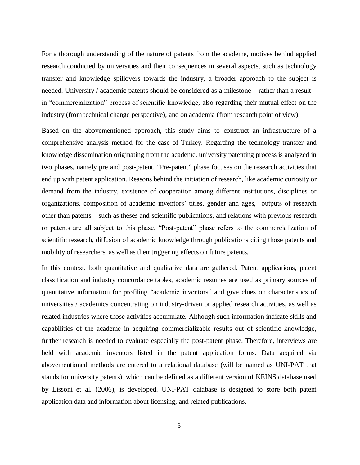For a thorough understanding of the nature of patents from the academe, motives behind applied research conducted by universities and their consequences in several aspects, such as technology transfer and knowledge spillovers towards the industry, a broader approach to the subject is needed. University / academic patents should be considered as a milestone – rather than a result – in "commercialization" process of scientific knowledge, also regarding their mutual effect on the industry (from technical change perspective), and on academia (from research point of view).

Based on the abovementioned approach, this study aims to construct an infrastructure of a comprehensive analysis method for the case of Turkey. Regarding the technology transfer and knowledge dissemination originating from the academe, university patenting process is analyzed in two phases, namely pre and post-patent. "Pre-patent" phase focuses on the research activities that end up with patent application. Reasons behind the initiation of research, like academic curiosity or demand from the industry, existence of cooperation among different institutions, disciplines or organizations, composition of academic inventors' titles, gender and ages, outputs of research other than patents – such as theses and scientific publications, and relations with previous research or patents are all subject to this phase. "Post-patent" phase refers to the commercialization of scientific research, diffusion of academic knowledge through publications citing those patents and mobility of researchers, as well as their triggering effects on future patents.

In this context, both quantitative and qualitative data are gathered. Patent applications, patent classification and industry concordance tables, academic resumes are used as primary sources of quantitative information for profiling "academic inventors" and give clues on characteristics of universities / academics concentrating on industry-driven or applied research activities, as well as related industries where those activities accumulate. Although such information indicate skills and capabilities of the academe in acquiring commercializable results out of scientific knowledge, further research is needed to evaluate especially the post-patent phase. Therefore, interviews are held with academic inventors listed in the patent application forms. Data acquired via abovementioned methods are entered to a relational database (will be named as UNI-PAT that stands for university patents), which can be defined as a different version of KEINS database used by Lissoni et al. (2006), is developed. UNI-PAT database is designed to store both patent application data and information about licensing, and related publications.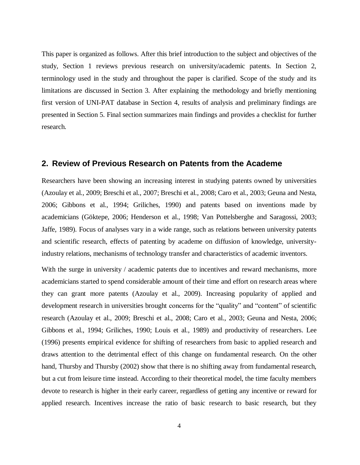This paper is organized as follows. After this brief introduction to the subject and objectives of the study, Section 1 reviews previous research on university/academic patents. In Section 2, terminology used in the study and throughout the paper is clarified. Scope of the study and its limitations are discussed in Section 3. After explaining the methodology and briefly mentioning first version of UNI-PAT database in Section 4, results of analysis and preliminary findings are presented in Section 5. Final section summarizes main findings and provides a checklist for further research.

### **2. Review of Previous Research on Patents from the Academe**

Researchers have been showing an increasing interest in studying patents owned by universities (Azoulay et al., 2009; Breschi et al., 2007; Breschi et al., 2008; Caro et al., 2003; Geuna and Nesta, 2006; Gibbons et al., 1994; Griliches, 1990) and patents based on inventions made by academicians (Göktepe, 2006; Henderson et al., 1998; Van Pottelsberghe and Saragossi, 2003; Jaffe, 1989). Focus of analyses vary in a wide range, such as relations between university patents and scientific research, effects of patenting by academe on diffusion of knowledge, universityindustry relations, mechanisms of technology transfer and characteristics of academic inventors.

With the surge in university / academic patents due to incentives and reward mechanisms, more academicians started to spend considerable amount of their time and effort on research areas where they can grant more patents (Azoulay et al., 2009). Increasing popularity of applied and development research in universities brought concerns for the "quality" and "content" of scientific research (Azoulay et al., 2009; Breschi et al., 2008; Caro et al., 2003; Geuna and Nesta, 2006; Gibbons et al., 1994; Griliches, 1990; Louis et al., 1989) and productivity of researchers. Lee (1996) presents empirical evidence for shifting of researchers from basic to applied research and draws attention to the detrimental effect of this change on fundamental research. On the other hand, Thursby and Thursby (2002) show that there is no shifting away from fundamental research, but a cut from leisure time instead. According to their theoretical model, the time faculty members devote to research is higher in their early career, regardless of getting any incentive or reward for applied research. Incentives increase the ratio of basic research to basic research, but they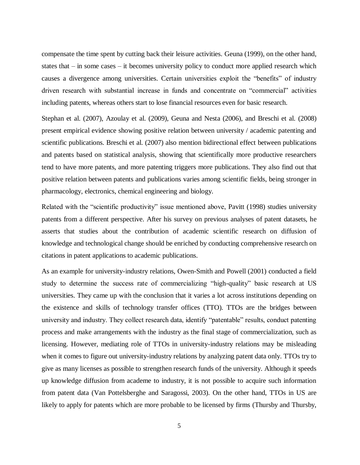compensate the time spent by cutting back their leisure activities. Geuna (1999), on the other hand, states that – in some cases – it becomes university policy to conduct more applied research which causes a divergence among universities. Certain universities exploit the "benefits" of industry driven research with substantial increase in funds and concentrate on "commercial" activities including patents, whereas others start to lose financial resources even for basic research.

Stephan et al. (2007), Azoulay et al. (2009), Geuna and Nesta (2006), and Breschi et al. (2008) present empirical evidence showing positive relation between university / academic patenting and scientific publications. Breschi et al. (2007) also mention bidirectional effect between publications and patents based on statistical analysis, showing that scientifically more productive researchers tend to have more patents, and more patenting triggers more publications. They also find out that positive relation between patents and publications varies among scientific fields, being stronger in pharmacology, electronics, chemical engineering and biology.

Related with the "scientific productivity" issue mentioned above, Pavitt (1998) studies university patents from a different perspective. After his survey on previous analyses of patent datasets, he asserts that studies about the contribution of academic scientific research on diffusion of knowledge and technological change should be enriched by conducting comprehensive research on citations in patent applications to academic publications.

As an example for university-industry relations, Owen-Smith and Powell (2001) conducted a field study to determine the success rate of commercializing "high-quality" basic research at US universities. They came up with the conclusion that it varies a lot across institutions depending on the existence and skills of technology transfer offices (TTO). TTOs are the bridges between university and industry. They collect research data, identify "patentable" results, conduct patenting process and make arrangements with the industry as the final stage of commercialization, such as licensing. However, mediating role of TTOs in university-industry relations may be misleading when it comes to figure out university-industry relations by analyzing patent data only. TTOs try to give as many licenses as possible to strengthen research funds of the university. Although it speeds up knowledge diffusion from academe to industry, it is not possible to acquire such information from patent data (Van Pottelsberghe and Saragossi, 2003). On the other hand, TTOs in US are likely to apply for patents which are more probable to be licensed by firms (Thursby and Thursby,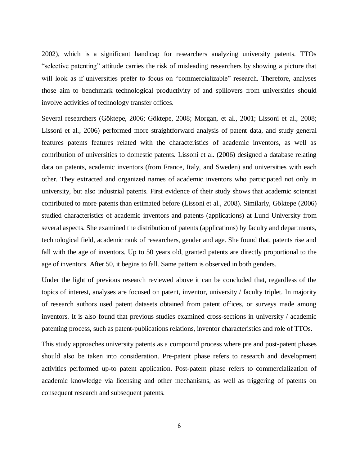2002), which is a significant handicap for researchers analyzing university patents. TTOs "selective patenting" attitude carries the risk of misleading researchers by showing a picture that will look as if universities prefer to focus on "commercializable" research. Therefore, analyses those aim to benchmark technological productivity of and spillovers from universities should involve activities of technology transfer offices.

Several researchers (Göktepe, 2006; Göktepe, 2008; Morgan, et al., 2001; Lissoni et al., 2008; Lissoni et al., 2006) performed more straightforward analysis of patent data, and study general features patents features related with the characteristics of academic inventors, as well as contribution of universities to domestic patents. Lissoni et al. (2006) designed a database relating data on patents, academic inventors (from France, Italy, and Sweden) and universities with each other. They extracted and organized names of academic inventors who participated not only in university, but also industrial patents. First evidence of their study shows that academic scientist contributed to more patents than estimated before (Lissoni et al., 2008). Similarly, Göktepe (2006) studied characteristics of academic inventors and patents (applications) at Lund University from several aspects. She examined the distribution of patents (applications) by faculty and departments, technological field, academic rank of researchers, gender and age. She found that, patents rise and fall with the age of inventors. Up to 50 years old, granted patents are directly proportional to the age of inventors. After 50, it begins to fall. Same pattern is observed in both genders.

Under the light of previous research reviewed above it can be concluded that, regardless of the topics of interest, analyses are focused on patent, inventor, university / faculty triplet. In majority of research authors used patent datasets obtained from patent offices, or surveys made among inventors. It is also found that previous studies examined cross-sections in university / academic patenting process, such as patent-publications relations, inventor characteristics and role of TTOs.

This study approaches university patents as a compound process where pre and post-patent phases should also be taken into consideration. Pre-patent phase refers to research and development activities performed up-to patent application. Post-patent phase refers to commercialization of academic knowledge via licensing and other mechanisms, as well as triggering of patents on consequent research and subsequent patents.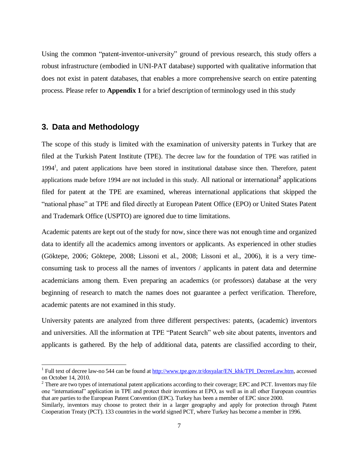Using the common "patent-inventor-university" ground of previous research, this study offers a robust infrastructure (embodied in UNI-PAT database) supported with qualitative information that does not exist in patent databases, that enables a more comprehensive search on entire patenting process. Please refer to **[Appendix 1](#page-22-0)** for a brief description of terminology used in this study

### **3. Data and Methodology**

The scope of this study is limited with the examination of university patents in Turkey that are filed at the Turkish Patent Institute (TPE). The decree law for the foundation of TPE was ratified in 1994<sup>1</sup>, and patent applications have been stored in institutional database since then. Therefore, patent applications made before 1994 are not included in this study. All national or international**<sup>2</sup>** applications filed for patent at the TPE are examined, whereas international applications that skipped the "national phase" at TPE and filed directly at European Patent Office (EPO) or United States Patent and Trademark Office (USPTO) are ignored due to time limitations.

Academic patents are kept out of the study for now, since there was not enough time and organized data to identify all the academics among inventors or applicants. As experienced in other studies (Göktepe, 2006; Göktepe, 2008; Lissoni et al., 2008; Lissoni et al., 2006), it is a very timeconsuming task to process all the names of inventors / applicants in patent data and determine academicians among them. Even preparing an academics (or professors) database at the very beginning of research to match the names does not guarantee a perfect verification. Therefore, academic patents are not examined in this study.

University patents are analyzed from three different perspectives: patents, (academic) inventors and universities. All the information at TPE "Patent Search" web site about patents, inventors and applicants is gathered. By the help of additional data, patents are classified according to their,

<sup>1</sup> Full text of decree law-no 544 can be found at [http://www.tpe.gov.tr/dosyalar/EN\\_khk/TPI\\_DecreeLaw.htm,](http://www.tpe.gov.tr/dosyalar/EN_khk/TPI_DecreeLaw.htm) accessed on October 14, 2010.

 $2$  There are two types of international patent applications according to their coverage; EPC and PCT. Inventors may file one "international" application in TPE and protect their inventions at EPO, as well as in all other European countries that are parties to the European Patent Convention (EPC). Turkey has been a member of EPC since 2000. Similarly, inventors may choose to protect their in a larger geography and apply for protection through Patent

Cooperation Treaty (PCT). 133 countries in the world signed PCT, where Turkey has become a member in 1996.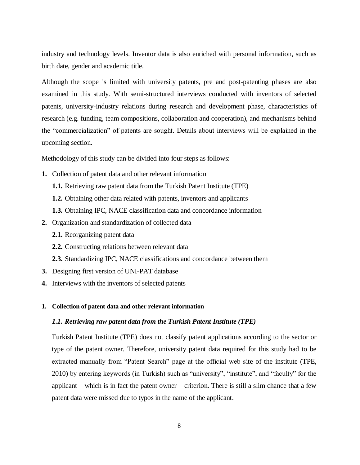industry and technology levels. Inventor data is also enriched with personal information, such as birth date, gender and academic title.

Although the scope is limited with university patents, pre and post-patenting phases are also examined in this study. With semi-structured interviews conducted with inventors of selected patents, university-industry relations during research and development phase, characteristics of research (e.g. funding, team compositions, collaboration and cooperation), and mechanisms behind the "commercialization" of patents are sought. Details about interviews will be explained in the upcoming section.

Methodology of this study can be divided into four steps as follows:

- **1.** Collection of patent data and other relevant information
	- **1.1.** Retrieving raw patent data from the Turkish Patent Institute (TPE)
	- **1.2.** Obtaining other data related with patents, inventors and applicants
	- **1.3.** Obtaining IPC, NACE classification data and concordance information
- **2.** Organization and standardization of collected data
	- **2.1.** Reorganizing patent data
	- **2.2.** Constructing relations between relevant data
	- **2.3.** Standardizing IPC, NACE classifications and concordance between them
- **3.** Designing first version of UNI-PAT database
- **4.** Interviews with the inventors of selected patents
- **1. Collection of patent data and other relevant information**

#### *1.1. Retrieving raw patent data from the Turkish Patent Institute (TPE)*

Turkish Patent Institute (TPE) does not classify patent applications according to the sector or type of the patent owner. Therefore, university patent data required for this study had to be extracted manually from "Patent Search" page at the official web site of the institute (TPE, 2010) by entering keywords (in Turkish) such as "university", "institute", and "faculty" for the applicant – which is in fact the patent owner – criterion. There is still a slim chance that a few patent data were missed due to typos in the name of the applicant.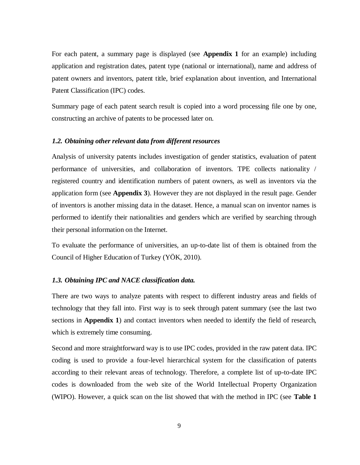For each patent, a summary page is displayed (see **[Appendix 1](#page-22-0)** for an example) including application and registration dates, patent type (national or international), name and address of patent owners and inventors, patent title, brief explanation about invention, and International Patent Classification (IPC) codes.

Summary page of each patent search result is copied into a word processing file one by one, constructing an archive of patents to be processed later on.

#### *1.2. Obtaining other relevant data from different resources*

Analysis of university patents includes investigation of gender statistics, evaluation of patent performance of universities, and collaboration of inventors. TPE collects nationality / registered country and identification numbers of patent owners, as well as inventors via the application form (see **[Appendix 3](#page-24-0)**). However they are not displayed in the result page. Gender of inventors is another missing data in the dataset. Hence, a manual scan on inventor names is performed to identify their nationalities and genders which are verified by searching through their personal information on the Internet.

To evaluate the performance of universities, an up-to-date list of them is obtained from the Council of Higher Education of Turkey (YÖK, 2010).

#### *1.3. Obtaining IPC and NACE classification data.*

There are two ways to analyze patents with respect to different industry areas and fields of technology that they fall into. First way is to seek through patent summary (see the last two sections in **[Appendix 1](#page-22-0)**) and contact inventors when needed to identify the field of research, which is extremely time consuming.

Second and more straightforward way is to use IPC codes, provided in the raw patent data. IPC coding is used to provide a four-level hierarchical system for the classification of patents according to their relevant areas of technology. Therefore, a complete list of up-to-date IPC codes is downloaded from the web site of the World Intellectual Property Organization (WIPO). However, a quick scan on the list showed that with the method in IPC (see **[Table 1](#page-10-0)**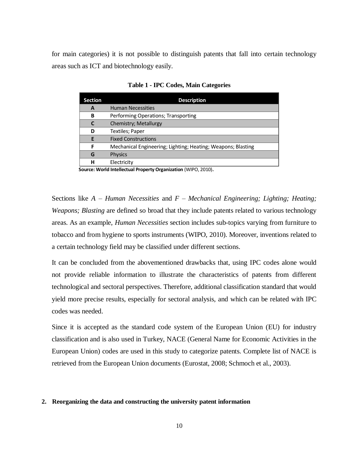<span id="page-10-0"></span>for main categories) it is not possible to distinguish patents that fall into certain technology areas such as ICT and biotechnology easily.

| <b>Section</b> | <b>Description</b>                                           |
|----------------|--------------------------------------------------------------|
| A              | <b>Human Necessities</b>                                     |
| В              | Performing Operations; Transporting                          |
| C              | Chemistry; Metallurgy                                        |
| D              | Textiles; Paper                                              |
| F              | <b>Fixed Constructions</b>                                   |
| F              | Mechanical Engineering; Lighting; Heating; Weapons; Blasting |
| G              | <b>Physics</b>                                               |
| н              | Electricity                                                  |

**Table 1 - IPC Codes, Main Categories**

**Source: World Intellectual Property Organization** (WIPO, 2010)**.**

Sections like *A – Human Necessities* and *F – Mechanical Engineering; Lighting; Heating; Weapons; Blasting* are defined so broad that they include patents related to various technology areas. As an example, *Human Necessities* section includes sub-topics varying from furniture to tobacco and from hygiene to sports instruments (WIPO, 2010). Moreover, inventions related to a certain technology field may be classified under different sections.

It can be concluded from the abovementioned drawbacks that, using IPC codes alone would not provide reliable information to illustrate the characteristics of patents from different technological and sectoral perspectives. Therefore, additional classification standard that would yield more precise results, especially for sectoral analysis, and which can be related with IPC codes was needed.

Since it is accepted as the standard code system of the European Union (EU) for industry classification and is also used in Turkey, NACE (General Name for Economic Activities in the European Union) codes are used in this study to categorize patents. Complete list of NACE is retrieved from the European Union documents (Eurostat, 2008; Schmoch et al., 2003).

#### **2. Reorganizing the data and constructing the university patent information**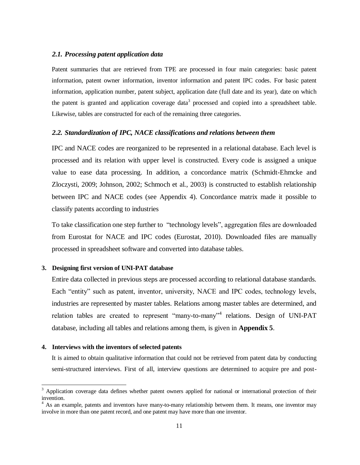#### *2.1. Processing patent application data*

Patent summaries that are retrieved from TPE are processed in four main categories: basic patent information, patent owner information, inventor information and patent IPC codes. For basic patent information, application number, patent subject, application date (full date and its year), date on which the patent is granted and application coverage data<sup>3</sup> processed and copied into a spreadsheet table. Likewise, tables are constructed for each of the remaining three categories.

### *2.2. Standardization of IPC, NACE classifications and relations between them*

IPC and NACE codes are reorganized to be represented in a relational database. Each level is processed and its relation with upper level is constructed. Every code is assigned a unique value to ease data processing. In addition, a concordance matrix (Schmidt-Ehmcke and Zloczysti, 2009; Johnson, 2002; Schmoch et al., 2003) is constructed to establish relationship between IPC and NACE codes (see [Appendix 4\)](#page-25-0). Concordance matrix made it possible to classify patents according to industries

To take classification one step further to "technology levels", aggregation files are downloaded from Eurostat for NACE and IPC codes (Eurostat, 2010). Downloaded files are manually processed in spreadsheet software and converted into database tables.

#### **3. Designing first version of UNI-PAT database**

Entire data collected in previous steps are processed according to relational database standards. Each "entity" such as patent, inventor, university, NACE and IPC codes, technology levels, industries are represented by master tables. Relations among master tables are determined, and relation tables are created to represent "many-to-many"<sup>4</sup> relations. Design of UNI-PAT database, including all tables and relations among them, is given in **[Appendix 5](#page-27-0)**.

#### **4. Interviews with the inventors of selected patents**

It is aimed to obtain qualitative information that could not be retrieved from patent data by conducting semi-structured interviews. First of all, interview questions are determined to acquire pre and post-

<sup>&</sup>lt;sup>3</sup> Application coverage data defines whether patent owners applied for national or international protection of their invention.

<sup>&</sup>lt;sup>4</sup> As an example, patents and inventors have many-to-many relationship between them. It means, one inventor may involve in more than one patent record, and one patent may have more than one inventor.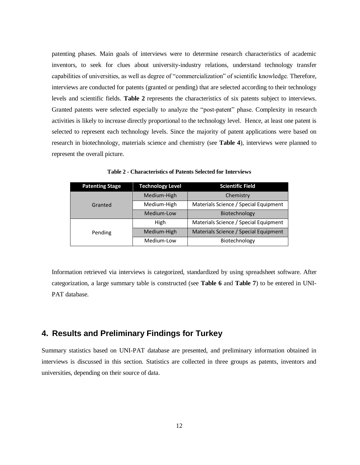patenting phases. Main goals of interviews were to determine research characteristics of academic inventors, to seek for clues about university-industry relations, understand technology transfer capabilities of universities, as well as degree of "commercialization" of scientific knowledge. Therefore, interviews are conducted for patents (granted or pending) that are selected according to their technology levels and scientific fields. **[Table 2](#page-12-0)** represents the characteristics of six patents subject to interviews. Granted patents were selected especially to analyze the "post-patent" phase. Complexity in research activities is likely to increase directly proportional to the technology level. Hence, at least one patent is selected to represent each technology levels. Since the majority of patent applications were based on research in biotechnology, materials science and chemistry (see **[Table 4](#page-14-0)**), interviews were planned to represent the overall picture.

<span id="page-12-0"></span>

| <b>Patenting Stage</b> | <b>Technology Level</b> | <b>Scientific Field</b>               |
|------------------------|-------------------------|---------------------------------------|
|                        | Medium-High             | Chemistry                             |
| Granted                | Medium-High             | Materials Science / Special Equipment |
|                        | Medium-Low              | Biotechnology                         |
|                        | High                    | Materials Science / Special Equipment |
| Pending                | Medium-High             | Materials Science / Special Equipment |
|                        | Medium-Low              | Biotechnology                         |

**Table 2 - Characteristics of Patents Selected for Interviews**

Information retrieved via interviews is categorized, standardized by using spreadsheet software. After categorization, a large summary table is constructed (see **[Table 6](#page-19-0)** and **[Table 7](#page-20-0)**) to be entered in UNI-PAT database.

# **4. Results and Preliminary Findings for Turkey**

Summary statistics based on UNI-PAT database are presented, and preliminary information obtained in interviews is discussed in this section. Statistics are collected in three groups as patents, inventors and universities, depending on their source of data.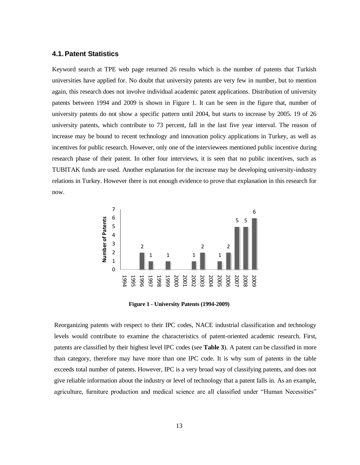#### **4.1.Patent Statistics**

Keyword search at TPE web page returned 26 results which is the number of patents that Turkish universities have applied for. No doubt that university patents are very few in number, but to mention again, this research does not involve individual academic patent applications. Distribution of university patents between 1994 and 2009 is shown in [Figure 1.](#page-13-0) It can be seen in the figure that, number of university patents do not show a specific pattern until 2004, but starts to increase by 2005. 19 of 26 university patents, which contribute to 73 percent, fall in the last five year interval. The reason of increase may be bound to recent technology and innovation policy applications in Turkey, as well as incentives for public research. However, only one of the interviewees mentioned public incentive during research phase of their patent. In other four interviews, it is seen that no public incentives, such as TUBITAK funds are used. Another explanation for the increase may be developing university-industry relations in Turkey. However there is not enough evidence to prove that explanation in this research for now.



**Figure 1 - University Patents (1994-2009)**

<span id="page-13-0"></span>Reorganizing patents with respect to their IPC codes, NACE industrial classification and technology levels would contribute to examine the characteristics of patent-oriented academic research. First, patents are classified by their highest level IPC codes (see **[Table 3](#page-14-1)**). A patent can be classified in more than category, therefore may have more than one IPC code. It is why sum of patents in the table exceeds total number of patents. However, IPC is a very broad way of classifying patents, and does not give reliable information about the industry or level of technology that a patent falls in. As an example, agriculture, furniture production and medical science are all classified under "Human Necessities"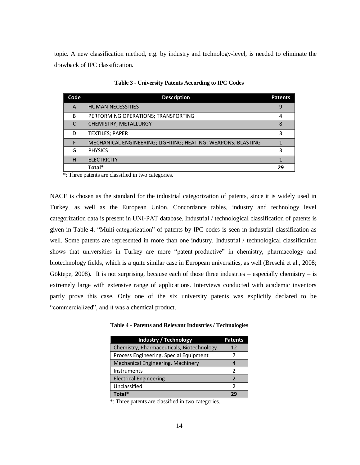topic. A new classification method, e.g. by industry and technology-level, is needed to eliminate the drawback of IPC classification.

<span id="page-14-1"></span>

| Code | <b>Description</b>                                           | <b>Patents</b> |
|------|--------------------------------------------------------------|----------------|
| A    | <b>HUMAN NECESSITIES</b>                                     | q              |
| B    | PERFORMING OPERATIONS; TRANSPORTING                          |                |
|      | <b>CHEMISTRY; METALLURGY</b>                                 | 8              |
| D    | <b>TEXTILES; PAPER</b>                                       |                |
|      | MECHANICAL ENGINEERING; LIGHTING; HEATING; WEAPONS; BLASTING |                |
| G    | <b>PHYSICS</b>                                               |                |
| н    | <b>ELECTRICITY</b>                                           |                |
|      | Total*                                                       | 29             |

**Table 3 - University Patents According to IPC Codes**

\*: Three patents are classified in two categories.

NACE is chosen as the standard for the industrial categorization of patents, since it is widely used in Turkey, as well as the European Union. Concordance tables, industry and technology level categorization data is present in UNI-PAT database. Industrial / technological classification of patents is given in [Table 4.](#page-14-0) "Multi-categorization" of patents by IPC codes is seen in industrial classification as well. Some patents are represented in more than one industry. Industrial / technological classification shows that universities in Turkey are more "patent-productive" in chemistry, pharmacology and biotechnology fields, which is a quite similar case in European universities, as well (Breschi et al., 2008; Göktepe, 2008). It is not surprising, because each of those three industries – especially chemistry – is extremely large with extensive range of applications. Interviews conducted with academic inventors partly prove this case. Only one of the six university patents was explicitly declared to be "commercialized", and it was a chemical product.

<span id="page-14-0"></span>**Table 4 - Patents and Relevant Industries / Technologies**

| <b>Industry / Technology</b>              | Patents |
|-------------------------------------------|---------|
| Chemistry, Pharmaceuticals, Biotechnology | 12      |
| Process Engineering, Special Equipment    |         |
| Mechanical Engineering, Machinery         |         |
| Instruments                               | 2       |
| <b>Electrical Engineering</b>             |         |
| Unclassified                              | 7       |
| Total*                                    |         |

\*: Three patents are classified in two categories.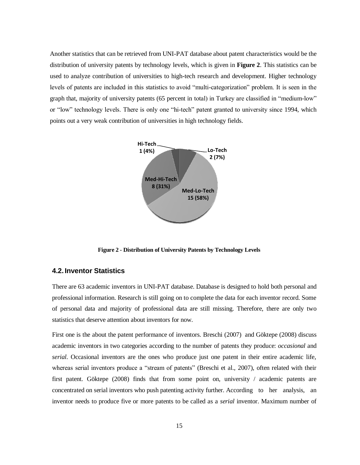Another statistics that can be retrieved from UNI-PAT database about patent characteristics would be the distribution of university patents by technology levels, which is given in **[Figure 2](#page-15-0)**. This statistics can be used to analyze contribution of universities to high-tech research and development. Higher technology levels of patents are included in this statistics to avoid "multi-categorization" problem. It is seen in the graph that, majority of university patents (65 percent in total) in Turkey are classified in "medium-low" or "low" technology levels. There is only one "hi-tech" patent granted to university since 1994, which points out a very weak contribution of universities in high technology fields.



**Figure 2 - Distribution of University Patents by Technology Levels**

### <span id="page-15-0"></span>**4.2. Inventor Statistics**

There are 63 academic inventors in UNI-PAT database. Database is designed to hold both personal and professional information. Research is still going on to complete the data for each inventor record. Some of personal data and majority of professional data are still missing. Therefore, there are only two statistics that deserve attention about inventors for now.

First one is the about the patent performance of inventors. Breschi (2007) and Göktepe (2008) discuss academic inventors in two categories according to the number of patents they produce: *occasional* and *serial*. Occasional inventors are the ones who produce just one patent in their entire academic life, whereas serial inventors produce a "stream of patents" (Breschi et al., 2007), often related with their first patent. Göktepe (2008) finds that from some point on, university / academic patents are concentrated on serial inventors who push patenting activity further. According to her analysis, an inventor needs to produce five or more patents to be called as a *serial* inventor. Maximum number of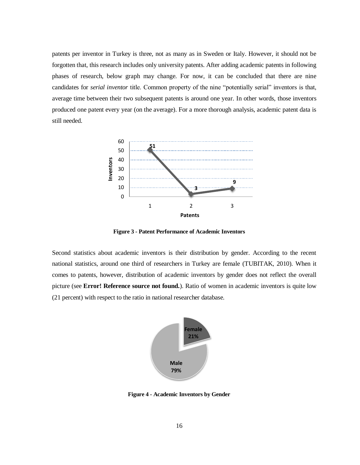patents per inventor in Turkey is three, not as many as in Sweden or Italy. However, it should not be forgotten that, this research includes only university patents. After adding academic patents in following phases of research, below graph may change. For now, it can be concluded that there are nine candidates for *serial inventor* title. Common property of the nine "potentially serial" inventors is that, average time between their two subsequent patents is around one year. In other words, those inventors produced one patent every year (on the average). For a more thorough analysis, academic patent data is still needed.



**Figure 3 - Patent Performance of Academic Inventors**

Second statistics about academic inventors is their distribution by gender. According to the recent national statistics, around one third of researchers in Turkey are female (TUBITAK, 2010). When it comes to patents, however, distribution of academic inventors by gender does not reflect the overall picture (see **Error! Reference source not found.**). Ratio of women in academic inventors is quite low (21 percent) with respect to the ratio in national researcher database.



**Figure 4 - Academic Inventors by Gender**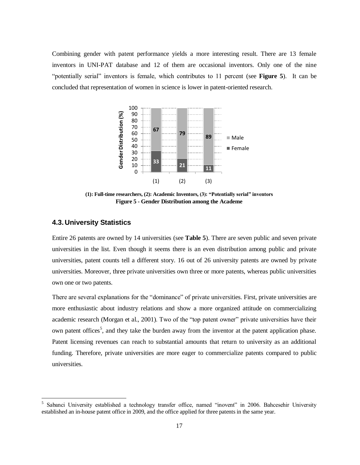Combining gender with patent performance yields a more interesting result. There are 13 female inventors in UNI-PAT database and 12 of them are occasional inventors. Only one of the nine "potentially serial" inventors is female, which contributes to 11 percent (see **[Figure 5](#page-17-0)**). It can be concluded that representation of women in science is lower in patent-oriented research.



**(1): Full-time researchers, (2): Academic Inventors, (3): "Potentially serial" inventors Figure 5 - Gender Distribution among the Academe**

### <span id="page-17-0"></span>**4.3. University Statistics**

Entire 26 patents are owned by 14 universities (see **[Table 5](#page-18-0)**). There are seven public and seven private universities in the list. Even though it seems there is an even distribution among public and private universities, patent counts tell a different story. 16 out of 26 university patents are owned by private universities. Moreover, three private universities own three or more patents, whereas public universities own one or two patents.

There are several explanations for the "dominance" of private universities. First, private universities are more enthusiastic about industry relations and show a more organized attitude on commercializing academic research (Morgan et al., 2001). Two of the "top patent owner" private universities have their own patent offices<sup>5</sup>, and they take the burden away from the inventor at the patent application phase. Patent licensing revenues can reach to substantial amounts that return to university as an additional funding. Therefore, private universities are more eager to commercialize patents compared to public universities.

<sup>&</sup>lt;sup>5</sup> Sabanci University established a technology transfer office, named "inovent" in 2006. Bahcesehir University established an in-house patent office in 2009, and the office applied for three patents in the same year.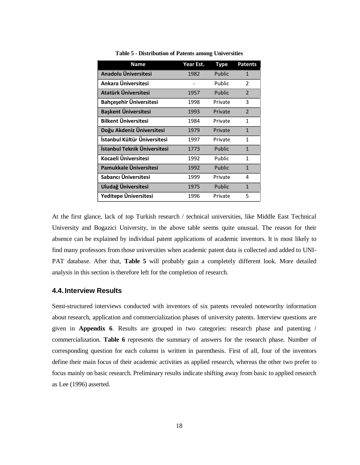<span id="page-18-0"></span>

| <b>Name</b>                  | Year Est. | Type    | <b>Patents</b> |
|------------------------------|-----------|---------|----------------|
| Anadolu Üniversitesi         | 1982      | Public  | 1              |
| Ankara Üniversitesi          | -         | Public  | 2              |
| Atatürk Üniversitesi         | 1957      | Public  | 2              |
| Bahçeşehir Üniversitesi      | 1998      | Private | 3              |
| Başkent Üniversitesi         | 1993      | Private | $\overline{2}$ |
| Bilkent Üniversitesi         | 1984      | Private | $\mathbf{1}$   |
| Doğu Akdeniz Üniversitesi    | 1979      | Private | $\mathbf{1}$   |
| İstanbul Kültür Üniversitesi | 1997      | Private | $\mathbf{1}$   |
| İstanbul Teknik Üniversitesi | 1773      | Public  | $\mathbf{1}$   |
| Kocaeli Üniversitesi         | 1992      | Public  | $\mathbf{1}$   |
| Pamukkale Üniversitesi       | 1992      | Public  | $\mathbf{1}$   |
| Sabancı Üniversitesi         | 1999      | Private | 4              |
| Uludağ Üniversitesi          | 1975      | Public  | $\mathbf{1}$   |
| Yeditepe Üniversitesi        | 1996      | Private | 5              |

**Table 5 - Distribution of Patents among Universities**

At the first glance, lack of top Turkish research / technical universities, like Middle East Technical University and Bogazici University, in the above table seems quite unusual. The reason for their absence can be explained by individual patent applications of academic inventors. It is most likely to find many professors from those universities when academic patent data is collected and added to UNI-PAT database. After that, **[Table 5](#page-18-0)** will probably gain a completely different look. More detailed analysis in this section is therefore left for the completion of research.

### **4.4. Interview Results**

Semi-structured interviews conducted with inventors of six patents revealed noteworthy information about research, application and commercialization phases of university patents. Interview questions are given in **[Appendix 6](#page-28-0)**. Results are grouped in two categories: research phase and patenting / commercialization. **[Table 6](#page-19-0)** represents the summary of answers for the research phase. Number of corresponding question for each column is written in parenthesis. First of all, four of the inventors define their main focus of their academic activities as applied research, whereas the other two prefer to focus mainly on basic research. Preliminary results indicate shifting away from basic to applied research as Lee (1996) asserted.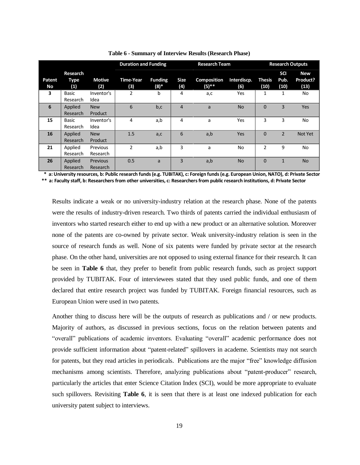<span id="page-19-0"></span>

|        |             |               | <b>Duration and Funding</b> |                |                | <b>Research Team</b> |             |                |               | <b>Research Outputs</b> |
|--------|-------------|---------------|-----------------------------|----------------|----------------|----------------------|-------------|----------------|---------------|-------------------------|
|        | Research    |               |                             |                |                |                      |             |                | <b>SCI</b>    | <b>New</b>              |
| Patent | <b>Type</b> | <b>Motive</b> | <b>Time-Year</b>            | <b>Funding</b> | <b>Size</b>    | <b>Composition</b>   | Interdiscp. | <b>Thesis</b>  | Pub.          | Product?                |
| No     | (1)         | (2)           | (3)                         | $(8)$ *        | (4)            | $(5)$ **             | (6)         | (10)           | (10)          | (13)                    |
| 3      | Basic       | Inventor's    | $\overline{2}$              | b              | 4              | a,c                  | Yes         | 1              | 1             | No                      |
|        | Research    | Idea          |                             |                |                |                      |             |                |               |                         |
| 6      | Applied     | <b>New</b>    | 6                           | b,c            | $\overline{4}$ | a                    | <b>No</b>   | $\Omega$       | 3             | Yes                     |
|        | Research    | Product       |                             |                |                |                      |             |                |               |                         |
| 15     | Basic       | Inventor's    | 4                           | a,b            | 4              | a                    | Yes         | 3              | 3             | No                      |
|        | Research    | Idea          |                             |                |                |                      |             |                |               |                         |
| 16     | Applied     | <b>New</b>    | 1.5                         | a, c           | 6              | a,b                  | Yes         | $\Omega$       | $\mathcal{P}$ | Not Yet                 |
|        | Research    | Product       |                             |                |                |                      |             |                |               |                         |
| 21     | Applied     | Previous      | $\overline{2}$              | a,b            | 3              | a                    | <b>No</b>   | $\overline{2}$ | 9             | No                      |
|        | Research    | Research      |                             |                |                |                      |             |                |               |                         |
| 26     | Applied     | Previous      | 0.5                         | a              | 3              | a,b                  | <b>No</b>   | $\Omega$       |               | <b>No</b>               |
|        | Research    | Research      |                             |                |                |                      |             |                |               |                         |

**Table 6 - Summary of Interview Results (Research Phase)**

 **\* a: University resources, b: Public research funds (e.g. TUBITAK), c: Foreign funds (e.g. European Union, NATO), d: Private Sector \*\* a: Faculty staff, b: Researchers from other universities, c: Researchers from public research institutions, d: Private Sector**

Results indicate a weak or no university-industry relation at the research phase. None of the patents were the results of industry-driven research. Two thirds of patents carried the individual enthusiasm of inventors who started research either to end up with a new product or an alternative solution. Moreover none of the patents are co-owned by private sector. Weak university-industry relation is seen in the source of research funds as well. None of six patents were funded by private sector at the research phase. On the other hand, universities are not opposed to using external finance for their research. It can be seen in **[Table 6](#page-19-0)** that, they prefer to benefit from public research funds, such as project support provided by TUBITAK. Four of interviewees stated that they used public funds, and one of them declared that entire research project was funded by TUBITAK. Foreign financial resources, such as European Union were used in two patents.

Another thing to discuss here will be the outputs of research as publications and / or new products. Majority of authors, as discussed in previous sections, focus on the relation between patents and "overall" publications of academic inventors. Evaluating "overall" academic performance does not provide sufficient information about "patent-related" spillovers in academe. Scientists may not search for patents, but they read articles in periodicals. Publications are the major "free" knowledge diffusion mechanisms among scientists. Therefore, analyzing publications about "patent-producer" research, particularly the articles that enter Science Citation Index (SCI), would be more appropriate to evaluate such spillovers. Revisiting **[Table 6](#page-19-0)**, it is seen that there is at least one indexed publication for each university patent subject to interviews.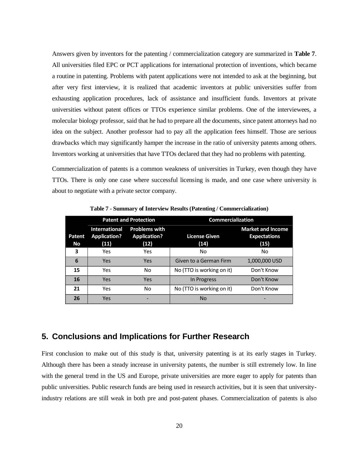Answers given by inventors for the patenting / commercialization category are summarized in **[Table 7](#page-20-0)**. All universities filed EPC or PCT applications for international protection of inventions, which became a routine in patenting. Problems with patent applications were not intended to ask at the beginning, but after very first interview, it is realized that academic inventors at public universities suffer from exhausting application procedures, lack of assistance and insufficient funds. Inventors at private universities without patent offices or TTOs experience similar problems. One of the interviewees, a molecular biology professor, said that he had to prepare all the documents, since patent attorneys had no idea on the subject. Another professor had to pay all the application fees himself. Those are serious drawbacks which may significantly hamper the increase in the ratio of university patents among others. Inventors working at universities that have TTOs declared that they had no problems with patenting.

Commercialization of patents is a common weakness of universities in Turkey, even though they have TTOs. There is only one case where successful licensing is made, and one case where university is about to negotiate with a private sector company.

<span id="page-20-0"></span>

|              |                                                     | <b>Patent and Protection</b>                        | <b>Commercialization</b>     |                                                         |  |
|--------------|-----------------------------------------------------|-----------------------------------------------------|------------------------------|---------------------------------------------------------|--|
| Patent<br>No | <b>International</b><br><b>Application?</b><br>(11) | <b>Problems with</b><br><b>Application?</b><br>(12) | <b>License Given</b><br>(14) | <b>Market and Income</b><br><b>Expectations</b><br>(15) |  |
| 3            | Yes                                                 | Yes                                                 | No                           | No                                                      |  |
| 6            | Yes                                                 | Yes                                                 | Given to a German Firm       | 1,000,000 USD                                           |  |
| 15           | Yes                                                 | <b>No</b>                                           | No (TTO is working on it)    | Don't Know                                              |  |
| 16           | Yes                                                 | Yes                                                 | In Progress                  | Don't Know                                              |  |
| 21           | Yes                                                 | No                                                  | No (TTO is working on it)    | Don't Know                                              |  |
| 26           | Yes                                                 |                                                     | <b>No</b>                    |                                                         |  |

**Table 7 - Summary of Interview Results (Patenting / Commercialization)**

# **5. Conclusions and Implications for Further Research**

First conclusion to make out of this study is that, university patenting is at its early stages in Turkey. Although there has been a steady increase in university patents, the number is still extremely low. In line with the general trend in the US and Europe, private universities are more eager to apply for patents than public universities. Public research funds are being used in research activities, but it is seen that universityindustry relations are still weak in both pre and post-patent phases. Commercialization of patents is also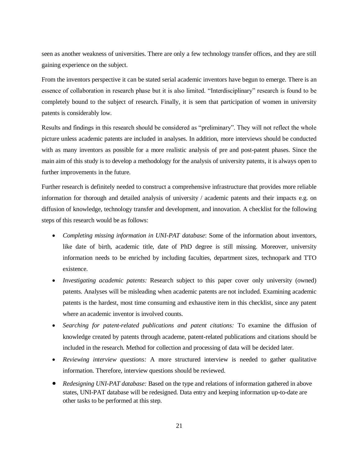seen as another weakness of universities. There are only a few technology transfer offices, and they are still gaining experience on the subject.

From the inventors perspective it can be stated serial academic inventors have begun to emerge. There is an essence of collaboration in research phase but it is also limited. "Interdisciplinary" research is found to be completely bound to the subject of research. Finally, it is seen that participation of women in university patents is considerably low.

Results and findings in this research should be considered as "preliminary". They will not reflect the whole picture unless academic patents are included in analyses. In addition, more interviews should be conducted with as many inventors as possible for a more realistic analysis of pre and post-patent phases. Since the main aim of this study is to develop a methodology for the analysis of university patents, it is always open to further improvements in the future.

Further research is definitely needed to construct a comprehensive infrastructure that provides more reliable information for thorough and detailed analysis of university / academic patents and their impacts e.g. on diffusion of knowledge, technology transfer and development, and innovation. A checklist for the following steps of this research would be as follows:

- *Completing missing information in UNI-PAT database*: Some of the information about inventors, like date of birth, academic title, date of PhD degree is still missing. Moreover, university information needs to be enriched by including faculties, department sizes, technopark and TTO existence.
- *Investigating academic patents:* Research subject to this paper cover only university (owned) patents. Analyses will be misleading when academic patents are not included. Examining academic patents is the hardest, most time consuming and exhaustive item in this checklist, since any patent where an academic inventor is involved counts.
- *Searching for patent-related publications and patent citations:* To examine the diffusion of knowledge created by patents through academe, patent-related publications and citations should be included in the research. Method for collection and processing of data will be decided later.
- *Reviewing interview questions:* A more structured interview is needed to gather qualitative information. Therefore, interview questions should be reviewed.
- *Redesigning UNI-PAT database:* Based on the type and relations of information gathered in above states, UNI-PAT database will be redesigned. Data entry and keeping information up-to-date are other tasks to be performed at this step.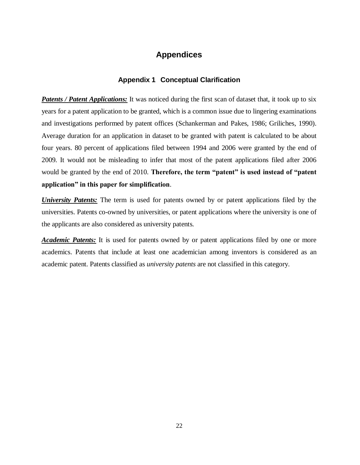# **Appendices**

# **Appendix 1 Conceptual Clarification**

<span id="page-22-0"></span>*Patents / Patent Applications:* It was noticed during the first scan of dataset that, it took up to six years for a patent application to be granted, which is a common issue due to lingering examinations and investigations performed by patent offices (Schankerman and Pakes, 1986; Griliches, 1990). Average duration for an application in dataset to be granted with patent is calculated to be about four years. 80 percent of applications filed between 1994 and 2006 were granted by the end of 2009. It would not be misleading to infer that most of the patent applications filed after 2006 would be granted by the end of 2010. **Therefore, the term "patent" is used instead of "patent application" in this paper for simplification**.

*University Patents:* The term is used for patents owned by or patent applications filed by the universities. Patents co-owned by universities, or patent applications where the university is one of the applicants are also considered as university patents.

*Academic Patents:* It is used for patents owned by or patent applications filed by one or more academics. Patents that include at least one academician among inventors is considered as an academic patent. Patents classified as *university patents* are not classified in this category.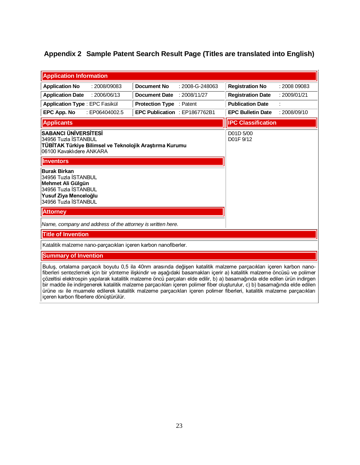# **Appendix 2 Sample Patent Search Result Page (Titles are translated into English)**

| <b>Application Information</b>                                                                                                                                                                                                                                                                                                                                                                                                                                                                                                                                                                                                   |                                                                                                                                                                     |                                 |                 |                           |              |  |
|----------------------------------------------------------------------------------------------------------------------------------------------------------------------------------------------------------------------------------------------------------------------------------------------------------------------------------------------------------------------------------------------------------------------------------------------------------------------------------------------------------------------------------------------------------------------------------------------------------------------------------|---------------------------------------------------------------------------------------------------------------------------------------------------------------------|---------------------------------|-----------------|---------------------------|--------------|--|
| <b>Application No</b>                                                                                                                                                                                                                                                                                                                                                                                                                                                                                                                                                                                                            | : 2008/09083                                                                                                                                                        | <b>Document No</b>              | : 2008-G-248063 | <b>Registration No</b>    | : 2008 09083 |  |
| <b>Application Date</b>                                                                                                                                                                                                                                                                                                                                                                                                                                                                                                                                                                                                          | : 2006/06/13                                                                                                                                                        | <b>Document Date</b>            | : 2008/11/27    | <b>Registration Date</b>  | : 2009/01/21 |  |
| <b>Application Type: EPC Fasikül</b>                                                                                                                                                                                                                                                                                                                                                                                                                                                                                                                                                                                             |                                                                                                                                                                     | <b>Protection Type : Patent</b> |                 | <b>Publication Date</b>   |              |  |
| EPC App. No                                                                                                                                                                                                                                                                                                                                                                                                                                                                                                                                                                                                                      | : EP06404002.5                                                                                                                                                      | EPC Publication : EP1867762B1   |                 | <b>EPC Bulletin Date</b>  | : 2008/09/10 |  |
| <b>Applicants</b>                                                                                                                                                                                                                                                                                                                                                                                                                                                                                                                                                                                                                |                                                                                                                                                                     |                                 |                 | <b>IPC Classification</b> |              |  |
|                                                                                                                                                                                                                                                                                                                                                                                                                                                                                                                                                                                                                                  | <b>SABANCI ÜNIVERSITESI</b><br>D01D 5/00<br>34956 Tuzla İSTANBUL<br>D01F9/12<br>TÜBİTAK Türkiye Bilimsel ve Teknolojik Araştırma Kurumu<br>06100 Kavaklıdere ANKARA |                                 |                 |                           |              |  |
| <b>Inventors</b>                                                                                                                                                                                                                                                                                                                                                                                                                                                                                                                                                                                                                 |                                                                                                                                                                     |                                 |                 |                           |              |  |
| <b>Burak Birkan</b><br>34956 Tuzla İSTANBUL<br>Mehmet Ali Gülgün<br>34956 Tuzla İSTANBUL<br>Yusuf Ziya Menceloğlu<br>34956 Tuzla İSTANBUL                                                                                                                                                                                                                                                                                                                                                                                                                                                                                        |                                                                                                                                                                     |                                 |                 |                           |              |  |
| <b>Attorney</b>                                                                                                                                                                                                                                                                                                                                                                                                                                                                                                                                                                                                                  |                                                                                                                                                                     |                                 |                 |                           |              |  |
|                                                                                                                                                                                                                                                                                                                                                                                                                                                                                                                                                                                                                                  | Name, company and address of the attorney is written here.                                                                                                          |                                 |                 |                           |              |  |
| <b>Title of Invention</b>                                                                                                                                                                                                                                                                                                                                                                                                                                                                                                                                                                                                        |                                                                                                                                                                     |                                 |                 |                           |              |  |
|                                                                                                                                                                                                                                                                                                                                                                                                                                                                                                                                                                                                                                  | Katalitik malzeme nano-parçacıkları içeren karbon nanofiberler.                                                                                                     |                                 |                 |                           |              |  |
| <b>Summary of Invention</b>                                                                                                                                                                                                                                                                                                                                                                                                                                                                                                                                                                                                      |                                                                                                                                                                     |                                 |                 |                           |              |  |
| Buluş, ortalama parçacık boyutu 0,5 ila 40nm arasında değişen katalitik malzeme parçacıkları içeren karbon nano-<br>fiberleri sentezlemek için bir yönteme ilişkindir ve aşağıdaki basamakları içerir a) katalitik malzeme öncüsü ve polimer<br>çözeltisi elektrospin yapılarak katalitik malzeme öncü parçaları elde edilir, b) a) basamağında elde edilen ürün indirgen<br>bir madde ile indirgenerek katalitik malzeme parçacıkları içeren polimer fiber oluşturulur, c) b) basamağında elde edilen<br>ürüne ısı ile muamele edilerek katalitik malzeme parçacıkları içeren polimer fiberleri, katalitik malzeme parçacıkları |                                                                                                                                                                     |                                 |                 |                           |              |  |

içeren karbon fiberlere dönüştürülür.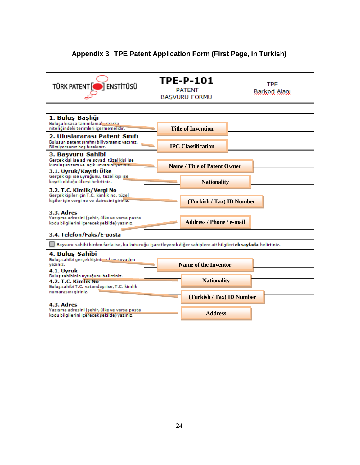# **Appendix 3 TPE Patent Application Form (First Page, in Turkish)**

<span id="page-24-0"></span>

| TÜRK PATENT [O] ENSTITÜSÜ                                                                                                 | <b>TPE-P-101</b><br><b>PATENT</b><br><b>BASVURU FORMU</b> | TPE<br>Barkod Alani |
|---------------------------------------------------------------------------------------------------------------------------|-----------------------------------------------------------|---------------------|
|                                                                                                                           |                                                           |                     |
| 1. Buluş Başlığı<br>Bulusu kisaca tanımlamak, marka<br>niteliğindeki terimleri içermemelidir.                             | <b>Title of Invention</b>                                 |                     |
| 2. Uluslararası Patent Sınıfı<br>Buluşun patent sınıfını biliyorsanız yazınız.<br>Bilmiyorsanız boş bırakınız.            | <b>IPC Classification</b>                                 |                     |
| 3. Basvuru Sahibi<br>Gerçek kişi ise ad ve soyad, tüzel kişi ise<br>kuruluşun tam ve açık unvanını yazımız.               | <b>Name / Title of Patent Owner</b>                       |                     |
| 3.1. Uyruk/Kayıtlı Ülke<br>Gerçek kişi ise uyruğunu, tüzel kişi ise<br>kayıtlı olduğu ülkeyi belirtiniz.                  | <b>Nationality</b>                                        |                     |
| 3.2. T.C. Kimlik/Vergi No<br>Gerçek kişiler için T.C. kimlik no, tüzel<br>kişiler için vergi no ve dairesini giriniz.     | (Turkish / Tax) ID Number                                 |                     |
| 3.3. Adres<br>Yazışma adresini (şehir, ülke ve varsa posta<br>kodu bilgilerini içerecek şekilde) yazınız.                 | <b>Address / Phone / e-mail</b>                           |                     |
| 3.4. Telefon/Faks/E-posta                                                                                                 |                                                           |                     |
| Başvuru sahibi birden fazla ise, bu kutucuğu işaretleyerek diğer sahiplere ait bilgileri ek sayfada belirtiniz.           |                                                           |                     |
| 4. Bulus Sahibi<br>Buluş sahibi gerçek kişinin adıya sovadını<br>vaziniz.                                                 | <b>Name of the Inventor</b>                               |                     |
| 4.1. Uyruk<br>Bulus sahibinin uyruğunu belirtiniz.<br>4.2. T.C. Kimlik No<br>Buluş sahibi T.C. vatandaşı ise, T.C. kimlik | <b>Nationality</b>                                        |                     |
| numarasını giriniz.<br>4.3. Adres                                                                                         | (Turkish / Tax) ID Number                                 |                     |
| Vazışma adresini (sehir, ülke ve varsa posta<br>kodu bilgilerini içerecek şekilde) yazınız.                               | <b>Address</b>                                            |                     |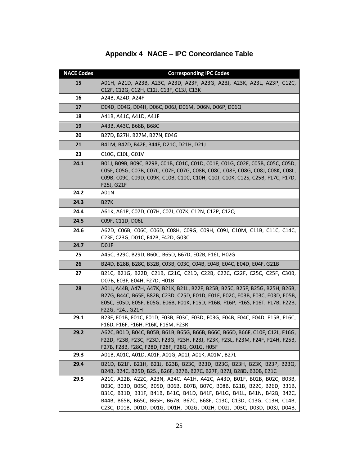<span id="page-25-0"></span>

| <b>NACE Codes</b> | <b>Corresponding IPC Codes</b>                                                                                                                                                                                                                                                                                                                                                      |
|-------------------|-------------------------------------------------------------------------------------------------------------------------------------------------------------------------------------------------------------------------------------------------------------------------------------------------------------------------------------------------------------------------------------|
| 15                | A01H, A21D, A23B, A23C, A23D, A23F, A23G, A23J, A23K, A23L, A23P, C12C,<br>C12F, C12G, C12H, C12J, C13F, C13J, C13K                                                                                                                                                                                                                                                                 |
| 16                | A24B, A24D, A24F                                                                                                                                                                                                                                                                                                                                                                    |
| 17                | D04D, D04G, D04H, D06C, D06J, D06M, D06N, D06P, D06Q                                                                                                                                                                                                                                                                                                                                |
| 18                | A41B, A41C, A41D, A41F                                                                                                                                                                                                                                                                                                                                                              |
| 19                | A43B, A43C, B68B, B68C                                                                                                                                                                                                                                                                                                                                                              |
| 20                | B27D, B27H, B27M, B27N, E04G                                                                                                                                                                                                                                                                                                                                                        |
| 21                | B41M, B42D, B42F, B44F, D21C, D21H, D21J                                                                                                                                                                                                                                                                                                                                            |
| 23                | C10G, C10L, G01V                                                                                                                                                                                                                                                                                                                                                                    |
| 24.1              | B01J, B09B, B09C, B29B, C01B, C01C, C01D, C01F, C01G, C02F, C05B, C05C, C05D,<br>C05F, C05G, C07B, C07C, C07F, C07G, C08B, C08C, C08F, C08G, C08J, C08K, C08L,<br>C09B, C09C, C09D, C09K, C10B, C10C, C10H, C10J, C10K, C12S, C25B, F17C, F17D,<br>F25J, G21F                                                                                                                       |
| 24.2              | A01N                                                                                                                                                                                                                                                                                                                                                                                |
| 24.3              | <b>B27K</b>                                                                                                                                                                                                                                                                                                                                                                         |
| 24.4              | A61K, A61P, C07D, C07H, C07J, C07K, C12N, C12P, C12Q                                                                                                                                                                                                                                                                                                                                |
| 24.5              | C09F, C11D, D06L                                                                                                                                                                                                                                                                                                                                                                    |
| 24.6              | A62D, C06B, C06C, C06D, C08H, C09G, C09H, C09J, C10M, C11B, C11C, C14C,<br>C23F, C23G, D01C, F42B, F42D, G03C                                                                                                                                                                                                                                                                       |
| 24.7              | <b>D01F</b>                                                                                                                                                                                                                                                                                                                                                                         |
| 25                | A45C, B29C, B29D, B60C, B65D, B67D, E02B, F16L, H02G                                                                                                                                                                                                                                                                                                                                |
| 26                | B24D, B28B, B28C, B32B, C03B, C03C, C04B, E04B, E04C, E04D, E04F, G21B                                                                                                                                                                                                                                                                                                              |
| 27                | B21C, B21G, B22D, C21B, C21C, C21D, C22B, C22C, C22F, C25C, C25F, C30B,<br>D07B, E03F, E04H, F27D, H01B                                                                                                                                                                                                                                                                             |
| 28                | A01L, A44B, A47H, A47K, B21K, B21L, B22F, B25B, B25C, B25F, B25G, B25H, B26B,<br>B27G, B44C, B65F, B82B, C23D, C25D, E01D, E01F, E02C, E03B, E03C, E03D, E05B,<br>E05C, E05D, E05F, E05G, E06B, F01K, F15D, F16B, F16P, F16S, F16T, F17B, F22B,<br>F22G, F24J, G21H                                                                                                                 |
| 29.1              | B23F, F01B, F01C, F01D, F03B, F03C, F03D, F03G, F04B, F04C, F04D, F15B, F16C,<br>F16D, F16F, F16H, F16K, F16M, F23R                                                                                                                                                                                                                                                                 |
| 29.2              | A62C, B01D, B04C, B05B, B61B, B65G, B66B, B66C, B66D, B66F, C10F, C12L, F16G,<br>F22D, F23B, F23C, F23D, F23G, F23H, F23J, F23K, F23L, F23M, F24F, F24H, F25B,<br>F27B, F28B, F28C, F28D, F28F, F28G, G01G, H05F                                                                                                                                                                    |
| 29.3              | A01B, A01C, A01D, A01F, A01G, A01J, A01K, A01M, B27L                                                                                                                                                                                                                                                                                                                                |
| 29.4              | B21D, B21F, B21H, B21J, B23B, B23C, B23D, B23G, B23H, B23K, B23P, B23Q,<br>B24B, B24C, B25D, B25J, B26F, B27B, B27C, B27F, B27J, B28D, B30B, E21C                                                                                                                                                                                                                                   |
| 29.5              | A21C, A22B, A22C, A23N, A24C, A41H, A42C, A43D, B01F, B02B, B02C, B03B,<br>BO3C, BO3D, BO5C, BO5D, BO6B, BO7B, BO7C, BO8B, B21B, B22C, B26D, B31B,<br>B31C, B31D, B31F, B41B, B41C, B41D, B41F, B41G, B41L, B41N, B42B, B42C,<br>B44B, B65B, B65C, B65H, B67B, B67C, B68F, C13C, C13D, C13G, C13H, C14B,<br>C23C, D01B, D01D, D01G, D01H, D02G, D02H, D02J, D03C, D03D, D03J, D04B, |

# **Appendix 4 NACE – IPC Concordance Table**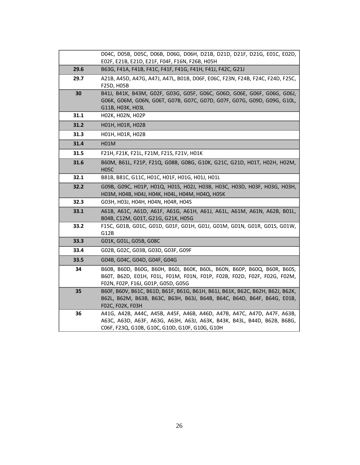|      | D04C, D05B, D05C, D06B, D06G, D06H, D21B, D21D, D21F, D21G, E01C, E02D,<br>E02F, E21B, E21D, E21F, F04F, F16N, F26B, H05H                                                                            |
|------|------------------------------------------------------------------------------------------------------------------------------------------------------------------------------------------------------|
| 29.6 | B63G, F41A, F41B, F41C, F41F, F41G, F41H, F41J, F42C, G21J                                                                                                                                           |
| 29.7 | A21B, A45D, A47G, A47J, A47L, B01B, D06F, E06C, F23N, F24B, F24C, F24D, F25C,<br>F25D, H05B                                                                                                          |
| 30   | B41J, B41K, B43M, G02F, G03G, G05F, G06C, G06D, G06E, G06F, G06G, G06J,<br>G06K, G06M, G06N, G06T, G07B, G07C, G07D, G07F, G07G, G09D, G09G, G10L,<br>G11B, H03K, H03L                               |
| 31.1 | H02K, H02N, H02P                                                                                                                                                                                     |
| 31.2 | H01H, H01R, H02B                                                                                                                                                                                     |
| 31.3 | H01H, H01R, H02B                                                                                                                                                                                     |
| 31.4 | <b>H01M</b>                                                                                                                                                                                          |
| 31.5 | F21H, F21K, F21L, F21M, F21S, F21V, H01K                                                                                                                                                             |
| 31.6 | B60M, B61L, F21P, F21Q, G08B, G08G, G10K, G21C, G21D, H01T, H02H, H02M,<br><b>H05C</b>                                                                                                               |
| 32.1 | B81B, B81C, G11C, H01C, H01F, H01G, H01J, H01L                                                                                                                                                       |
| 32.2 | G09B, G09C, H01P, H01Q, H01S, H02J, H03B, H03C, H03D, H03F, H03G, H03H,<br>H03M, H04B, H04J, H04K, H04L, H04M, H04Q, H05K                                                                            |
| 32.3 | G03H, H03J, H04H, H04N, H04R, H04S                                                                                                                                                                   |
| 33.1 | A61B, A61C, A61D, A61F, A61G, A61H, A61J, A61L, A61M, A61N, A62B, B01L,<br>B04B, C12M, G01T, G21G, G21K, H05G                                                                                        |
| 33.2 | F15C, G01B, G01C, G01D, G01F, G01H, G01J, G01M, G01N, G01R, G01S, G01W,<br>G12B                                                                                                                      |
| 33.3 | G01K, G01L, G05B, G08C                                                                                                                                                                               |
| 33.4 | G02B, G02C, G03B, G03D, G03F, G09F                                                                                                                                                                   |
| 33.5 | G04B, G04C, G04D, G04F, G04G                                                                                                                                                                         |
| 34   | B60B, B60D, B60G, B60H, B60J, B60K, B60L, B60N, B60P, B60Q, B60R, B60S,<br>B60T, B62D, E01H, F01L, F01M, F01N, F01P, F02B, F02D, F02F, F02G, F02M,<br>F02N, F02P, F16J, G01P, G05D, G05G             |
| 35   | B60F, B60V, B61C, B61D, B61F, B61G, B61H, B61J, B61K, B62C, B62H, B62J, B62K,<br>B62L, B62M, B63B, B63C, B63H, B63J, B64B, B64C, B64D, B64F, B64G, E01B,<br>F02C, F02K, F03H                         |
| 36   | A41G, A42B, A44C, A45B, A45F, A46B, A46D, A47B, A47C, A47D, A47F, A63B,<br>A63C, A63D, A63F, A63G, A63H, A63J, A63K, B43K, B43L, B44D, B62B, B68G,<br>C06F, F23Q, G10B, G10C, G10D, G10F, G10G, G10H |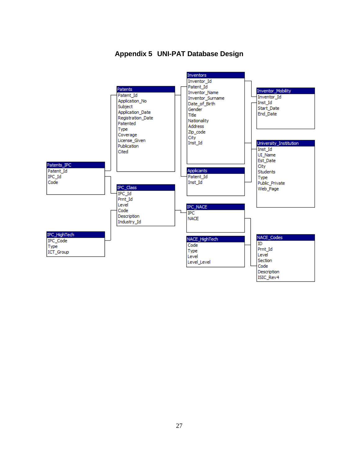**Appendix 5 UNI-PAT Database Design**

<span id="page-27-0"></span>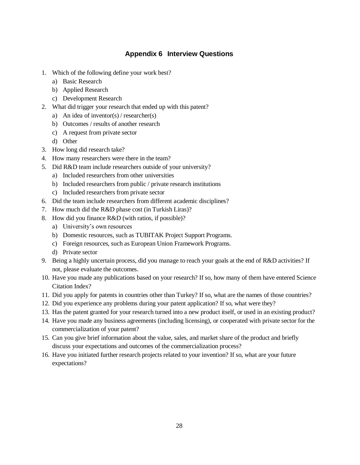## **Appendix 6 Interview Questions**

- <span id="page-28-0"></span>1. Which of the following define your work best?
	- a) Basic Research
	- b) Applied Research
	- c) Development Research
- 2. What did trigger your research that ended up with this patent?
	- a) An idea of inventor(s) / researcher(s)
	- b) Outcomes / results of another research
	- c) A request from private sector
	- d) Other
- 3. How long did research take?
- 4. How many researchers were there in the team?
- 5. Did R&D team include researchers outside of your university?
	- a) Included researchers from other universities
	- b) Included researchers from public / private research institutions
	- c) Included researchers from private sector
- 6. Did the team include researchers from different academic disciplines?
- 7. How much did the R&D phase cost (in Turkish Liras)?
- 8. How did you finance R&D (with ratios, if possible)?
	- a) University's own resources
	- b) Domestic resources, such as TUBITAK Project Support Programs.
	- c) Foreign resources, such as European Union Framework Programs.
	- d) Private sector
- 9. Being a highly uncertain process, did you manage to reach your goals at the end of R&D activities? If not, please evaluate the outcomes.
- 10. Have you made any publications based on your research? If so, how many of them have entered Science Citation Index?
- 11. Did you apply for patents in countries other than Turkey? If so, what are the names of those countries?
- 12. Did you experience any problems during your patent application? If so, what were they?
- 13. Has the patent granted for your research turned into a new product itself, or used in an existing product?
- 14. Have you made any business agreements (including licensing), or cooperated with private sector for the commercialization of your patent?
- 15. Can you give brief information about the value, sales, and market share of the product and briefly discuss your expectations and outcomes of the commercialization process?
- 16. Have you initiated further research projects related to your invention? If so, what are your future expectations?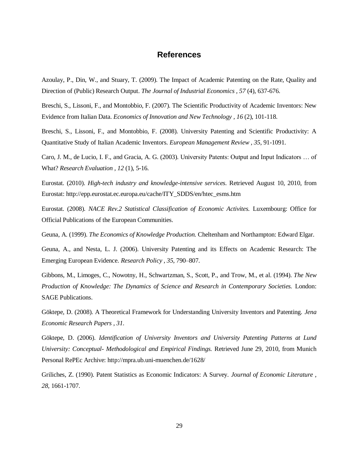### **References**

Azoulay, P., Din, W., and Stuary, T. (2009). The Impact of Academic Patenting on the Rate, Quality and Direction of (Public) Research Output. *The Journal of Industrial Economics , 57* (4), 637-676.

Breschi, S., Lissoni, F., and Montobbio, F. (2007). The Scientific Productivity of Academic Inventors: New Evidence from Italian Data. *Economics of Innovation and New Technology , 16* (2), 101-118.

Breschi, S., Lissoni, F., and Montobbio, F. (2008). University Patenting and Scientific Productivity: A Quantitative Study of Italian Academic Inventors. *European Management Review , 35*, 91-1091.

Caro, J. M., de Lucio, I. F., and Gracia, A. G. (2003). University Patents: Output and Input Indicators … of What? *Research Evaluation , 12* (1), 5-16.

Eurostat. (2010). *High-tech industry and knowledge-intensive services*. Retrieved August 10, 2010, from Eurostat: http://epp.eurostat.ec.europa.eu/cache/ITY\_SDDS/en/htec\_esms.htm

Eurostat. (2008). *NACE Rev.2 Statistical Classification of Economic Activites.* Luxembourg: Office for Official Publications of the European Communities.

Geuna, A. (1999). *The Economics of Knowledge Production.* Cheltenham and Northampton: Edward Elgar.

Geuna, A., and Nesta, L. J. (2006). University Patenting and its Effects on Academic Research: The Emerging European Evidence. *Research Policy , 35*, 790–807.

Gibbons, M., Limoges, C., Nowotny, H., Schwartzman, S., Scott, P., and Trow, M., et al. (1994). *The New Production of Knowledge: The Dynamics of Science and Research in Contemporary Societies.* London: SAGE Publications.

Göktepe, D. (2008). A Theoretical Framework for Understanding University Inventors and Patenting. *Jena Economic Research Papers , 31*.

Göktepe, D. (2006). *Identification of University Inventors and University Patenting Patterns at Lund University: Conceptual- Methodological and Empirical Findings.* Retrieved June 29, 2010, from Munich Personal RePEc Archive: http://mpra.ub.uni-muenchen.de/1628/

Griliches, Z. (1990). Patent Statistics as Economic Indicators: A Survey. *Journal of Economic Literature , 28*, 1661-1707.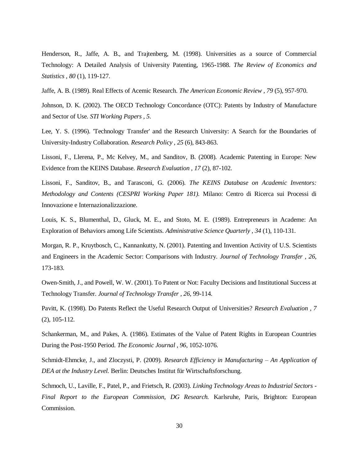Henderson, R., Jaffe, A. B., and Trajtenberg, M. (1998). Universities as a source of Commercial Technology: A Detailed Analysis of University Patenting, 1965-1988. *The Review of Economics and Statistics , 80* (1), 119-127.

Jaffe, A. B. (1989). Real Effects of Acemic Research. *The American Economic Review , 79* (5), 957-970.

Johnson, D. K. (2002). The OECD Technology Concordance (OTC): Patents by Industry of Manufacture and Sector of Use. *STI Working Papers , 5*.

Lee, Y. S. (1996). 'Technology Transfer' and the Research University: A Search for the Boundaries of University-Industry Collaboration. *Research Policy , 25* (6), 843-863.

Lissoni, F., Llerena, P., Mc Kelvey, M., and Sanditov, B. (2008). Academic Patenting in Europe: New Evidence from the KEINS Database. *Research Evaluation , 17* (2), 87-102.

Lissoni, F., Sanditov, B., and Tarasconi, G. (2006). *The KEINS Database on Academic Inventors: Methodology and Contents (CESPRI Working Paper 181).* Milano: Centro di Ricerca sui Processi di Innovazione e Internazionalizzazione.

Louis, K. S., Blumenthal, D., Gluck, M. E., and Stoto, M. E. (1989). Entrepreneurs in Academe: An Exploration of Behaviors among Life Scientists. *Administrative Science Quarterly , 34* (1), 110-131.

Morgan, R. P., Kruytbosch, C., Kannankutty, N. (2001). Patenting and Invention Activity of U.S. Scientists and Engineers in the Academic Sector: Comparisons with Industry. *Journal of Technology Transfer , 26*, 173-183.

Owen-Smith, J., and Powell, W. W. (2001). To Patent or Not: Faculty Decisions and Institutional Success at Technology Transfer. *Journal of Technology Transfer , 26*, 99-114.

Pavitt, K. (1998). Do Patents Reflect the Useful Research Output of Universities? *Research Evaluation , 7* (2), 105-112.

Schankerman, M., and Pakes, A. (1986). Estimates of the Value of Patent Rights in European Countries During the Post-1950 Period. *The Economic Journal , 96*, 1052-1076.

Schmidt-Ehmcke, J., and Zloczysti, P. (2009). *Research Efficiency in Manufacturing – An Application of DEA at the Industry Level.* Berlin: Deutsches Institut für Wirtschaftsforschung.

Schmoch, U., Laville, F., Patel, P., and Frietsch, R. (2003). *Linking Technology Areas to Industrial Sectors - Final Report to the European Commission, DG Research.* Karlsruhe, Paris, Brighton: European Commission.